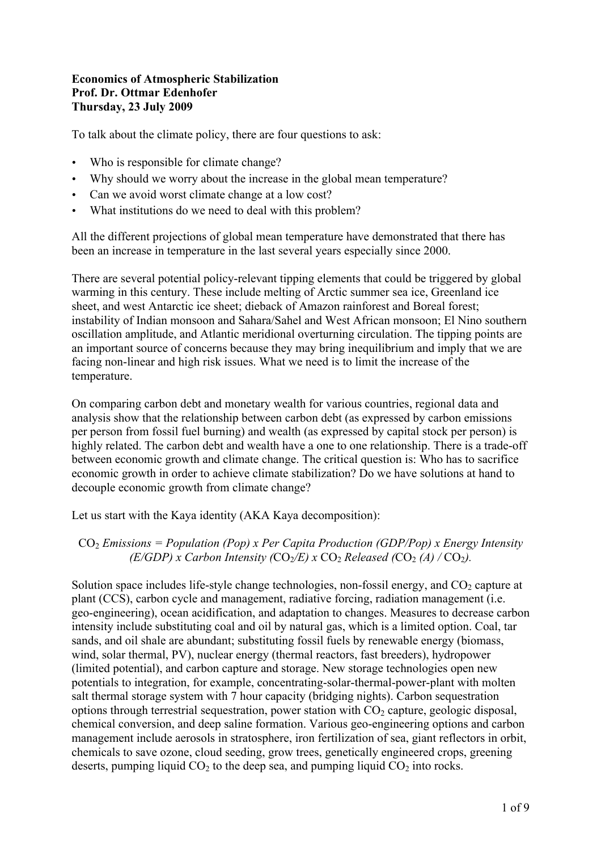## **Economics of Atmospheric Stabilization Prof. Dr. Ottmar Edenhofer Thursday, 23 July 2009**

To talk about the climate policy, there are four questions to ask:

- Who is responsible for climate change?
- Why should we worry about the increase in the global mean temperature?
- Can we avoid worst climate change at a low cost?
- What institutions do we need to deal with this problem?

All the different projections of global mean temperature have demonstrated that there has been an increase in temperature in the last several years especially since 2000.

There are several potential policy-relevant tipping elements that could be triggered by global warming in this century. These include melting of Arctic summer sea ice, Greenland ice sheet, and west Antarctic ice sheet; dieback of Amazon rainforest and Boreal forest; instability of Indian monsoon and Sahara/Sahel and West African monsoon; El Nino southern oscillation amplitude, and Atlantic meridional overturning circulation. The tipping points are an important source of concerns because they may bring inequilibrium and imply that we are facing non-linear and high risk issues. What we need is to limit the increase of the temperature.

On comparing carbon debt and monetary wealth for various countries, regional data and analysis show that the relationship between carbon debt (as expressed by carbon emissions per person from fossil fuel burning) and wealth (as expressed by capital stock per person) is highly related. The carbon debt and wealth have a one to one relationship. There is a trade-off between economic growth and climate change. The critical question is: Who has to sacrifice economic growth in order to achieve climate stabilization? Do we have solutions at hand to decouple economic growth from climate change?

Let us start with the Kaya identity (AKA Kaya decomposition):

## CO<sub>2</sub> Emissions = Population (Pop) x Per Capita Production (GDP/Pop) x Energy Intensity *(E/GDP) x Carbon Intensity (CO<sub>2</sub>/E) x CO<sub>2</sub> Released (CO<sub>2</sub> <i>(A)* / CO<sub>2</sub>).

Solution space includes life-style change technologies, non-fossil energy, and  $CO<sub>2</sub>$  capture at plant (CCS), carbon cycle and management, radiative forcing, radiation management (i.e. geo-engineering), ocean acidification, and adaptation to changes. Measures to decrease carbon intensity include substituting coal and oil by natural gas, which is a limited option. Coal, tar sands, and oil shale are abundant; substituting fossil fuels by renewable energy (biomass, wind, solar thermal, PV), nuclear energy (thermal reactors, fast breeders), hydropower (limited potential), and carbon capture and storage. New storage technologies open new potentials to integration, for example, concentrating-solar-thermal-power-plant with molten salt thermal storage system with 7 hour capacity (bridging nights). Carbon sequestration options through terrestrial sequestration, power station with  $CO<sub>2</sub>$  capture, geologic disposal, chemical conversion, and deep saline formation. Various geo-engineering options and carbon management include aerosols in stratosphere, iron fertilization of sea, giant reflectors in orbit, chemicals to save ozone, cloud seeding, grow trees, genetically engineered crops, greening deserts, pumping liquid  $CO<sub>2</sub>$  to the deep sea, and pumping liquid  $CO<sub>2</sub>$  into rocks.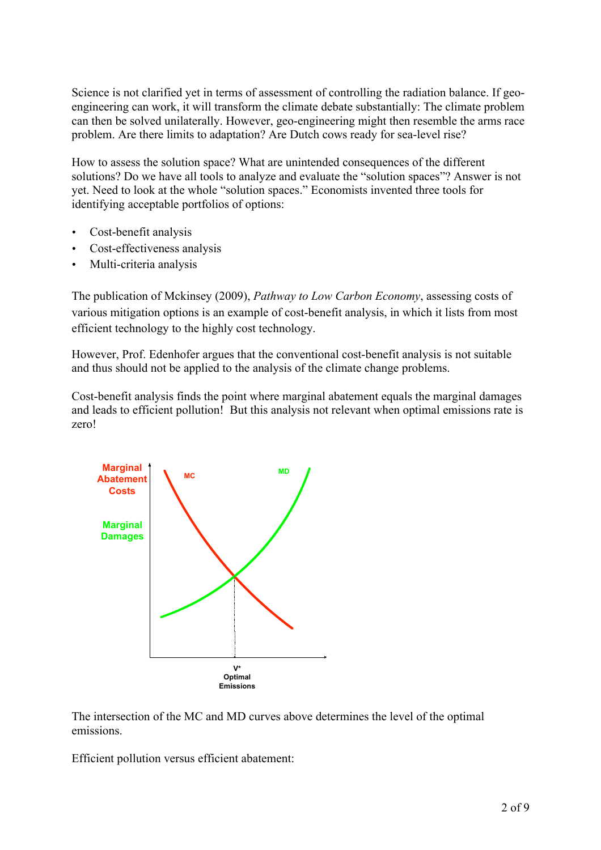Science is not clarified yet in terms of assessment of controlling the radiation balance. If geoengineering can work, it will transform the climate debate substantially: The climate problem can then be solved unilaterally. However, geo-engineering might then resemble the arms race problem. Are there limits to adaptation? Are Dutch cows ready for sea-level rise?

How to assess the solution space? What are unintended consequences of the different solutions? Do we have all tools to analyze and evaluate the "solution spaces"? Answer is not yet. Need to look at the whole "solution spaces." Economists invented three tools for identifying acceptable portfolios of options:

- Cost-benefit analysis
- Cost-effectiveness analysis
- Multi-criteria analysis

The publication of Mckinsey (2009), *Pathway to Low Carbon Economy*, assessing costs of various mitigation options is an example of cost-benefit analysis, in which it lists from most efficient technology to the highly cost technology.

However, Prof. Edenhofer argues that the conventional cost-benefit analysis is not suitable and thus should not be applied to the analysis of the climate change problems.

Cost-benefit analysis finds the point where marginal abatement equals the marginal damages and leads to efficient pollution! But this analysis not relevant when optimal emissions rate is zero!



The intersection of the MC and MD curves above determines the level of the optimal emissions.

Efficient pollution versus efficient abatement: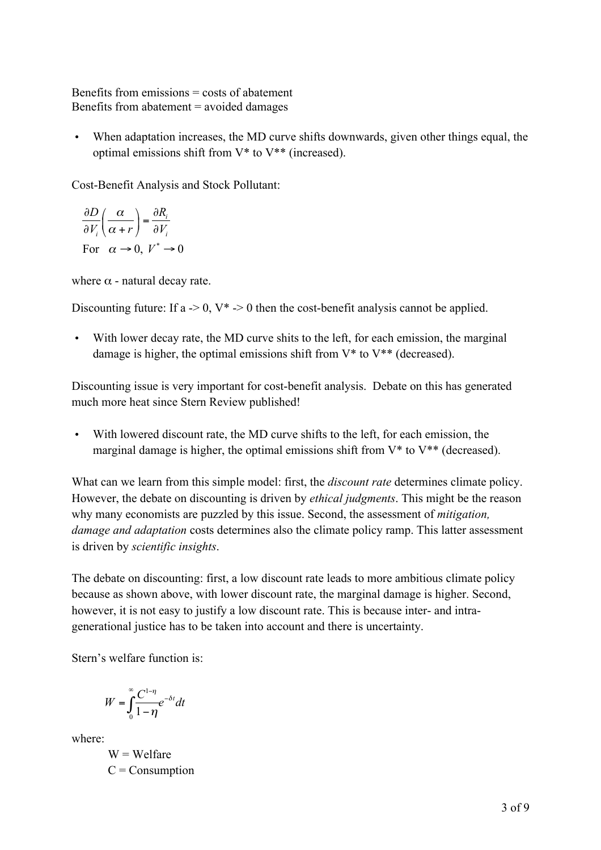Benefits from emissions = costs of abatement Benefits from abatement = avoided damages

• When adaptation increases, the MD curve shifts downwards, given other things equal, the optimal emissions shift from V\* to V\*\* (increased).

Cost-Benefit Analysis and Stock Pollutant:

For  $\alpha \to 0$ ,  $V^* \to 0$ *i*  $i \left( u + i \right)$  *or*  $D \mid \alpha \rightarrow \partial R$  $V_i(\alpha+r)$   $\partial V$ α α  $rac{\partial D}{\partial V_i} \left( \frac{\alpha}{\alpha + r} \right) = \frac{\partial}{\partial \alpha}$ 

where  $\alpha$  - natural decay rate.

Discounting future: If a  $\geq 0$ , V<sup>\*</sup>  $\geq 0$  then the cost-benefit analysis cannot be applied.

• With lower decay rate, the MD curve shits to the left, for each emission, the marginal damage is higher, the optimal emissions shift from  $V^*$  to  $V^{**}$  (decreased).

Discounting issue is very important for cost-benefit analysis. Debate on this has generated much more heat since Stern Review published!

• With lowered discount rate, the MD curve shifts to the left, for each emission, the marginal damage is higher, the optimal emissions shift from  $V^*$  to  $V^{**}$  (decreased).

What can we learn from this simple model: first, the *discount rate* determines climate policy. However, the debate on discounting is driven by *ethical judgments*. This might be the reason why many economists are puzzled by this issue. Second, the assessment of *mitigation, damage and adaptation* costs determines also the climate policy ramp. This latter assessment is driven by *scientific insights*.

The debate on discounting: first, a low discount rate leads to more ambitious climate policy because as shown above, with lower discount rate, the marginal damage is higher. Second, however, it is not easy to justify a low discount rate. This is because inter- and intragenerational justice has to be taken into account and there is uncertainty.

Stern's welfare function is:

$$
W = \int_{0}^{\infty} \frac{C^{1-\eta}}{1-\eta} e^{-\delta t} dt
$$

where:

 $W = W$ elfare  $C =$ Consumption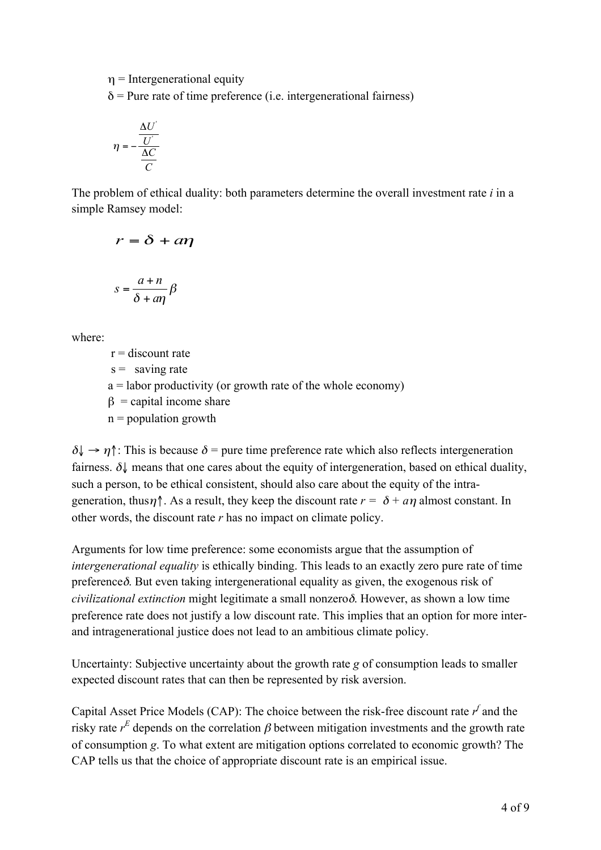$\eta$  = Intergenerational equity

 $\delta$  = Pure rate of time preference (i.e. intergenerational fairness)

$$
\eta = -\frac{\frac{\Delta U'}{U'}}{\frac{\Delta C}{C}}
$$

The problem of ethical duality: both parameters determine the overall investment rate *i* in a simple Ramsey model:

$$
r = \delta + a\eta
$$

$$
s = \frac{a+n}{\delta + a\eta} \beta
$$

where:

 $r =$  discount rate

 $s =$  saving rate

a = labor productivity (or growth rate of the whole economy)

 $\beta$  = capital income share

 $n =$  population growth

 $\delta \downarrow \rightarrow \eta$ <sup>\*</sup>: This is because  $\delta$  = pure time preference rate which also reflects intergeneration fairness.  $\delta$  means that one cares about the equity of intergeneration, based on ethical duality, such a person, to be ethical consistent, should also care about the equity of the intrageneration, thus $\eta$ <sup>\*</sup>. As a result, they keep the discount rate  $r = \delta + a\eta$  almost constant. In other words, the discount rate *r* has no impact on climate policy.

Arguments for low time preference: some economists argue that the assumption of *intergenerational equality* is ethically binding. This leads to an exactly zero pure rate of time preferenceδ. But even taking intergenerational equality as given, the exogenous risk of *civilizational extinction* might legitimate a small nonzeroδ. However, as shown a low time preference rate does not justify a low discount rate. This implies that an option for more interand intragenerational justice does not lead to an ambitious climate policy.

Uncertainty: Subjective uncertainty about the growth rate *g* of consumption leads to smaller expected discount rates that can then be represented by risk aversion.

Capital Asset Price Models (CAP): The choice between the risk-free discount rate  $r^f$  and the risky rate  $r^E$  depends on the correlation  $\beta$  between mitigation investments and the growth rate of consumption *g*. To what extent are mitigation options correlated to economic growth? The CAP tells us that the choice of appropriate discount rate is an empirical issue.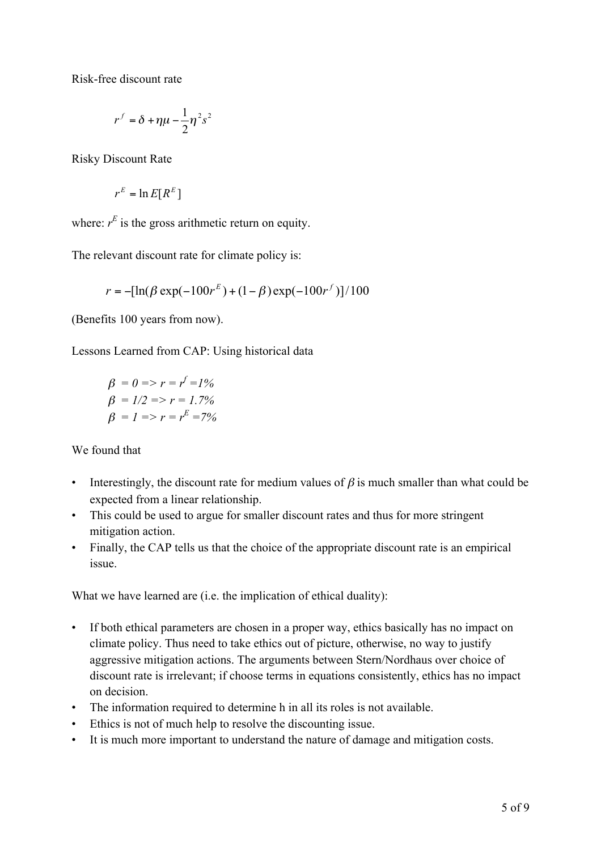Risk-free discount rate

$$
r^f=\delta+\eta\mu-\frac{1}{2}\eta^2s^2
$$

Risky Discount Rate

$$
r^E = \ln E[R^E]
$$

where:  $r^E$  is the gross arithmetic return on equity.

The relevant discount rate for climate policy is:

$$
r = -[\ln(\beta \exp(-100r^{E}) + (1-\beta)\exp(-100r^{f})]/100
$$

(Benefits 100 years from now).

Lessons Learned from CAP: Using historical data

$$
\beta = 0 \Rightarrow r = r^f = 1\%
$$
  

$$
\beta = 1/2 \Rightarrow r = 1.7\%
$$
  

$$
\beta = 1 \Rightarrow r = r^E = 7\%
$$

We found that

- Interestingly, the discount rate for medium values of  $\beta$  is much smaller than what could be expected from a linear relationship.
- This could be used to argue for smaller discount rates and thus for more stringent mitigation action.
- Finally, the CAP tells us that the choice of the appropriate discount rate is an empirical issue.

What we have learned are (i.e. the implication of ethical duality):

- If both ethical parameters are chosen in a proper way, ethics basically has no impact on climate policy. Thus need to take ethics out of picture, otherwise, no way to justify aggressive mitigation actions. The arguments between Stern/Nordhaus over choice of discount rate is irrelevant; if choose terms in equations consistently, ethics has no impact on decision.
- The information required to determine h in all its roles is not available.
- Ethics is not of much help to resolve the discounting issue.
- It is much more important to understand the nature of damage and mitigation costs.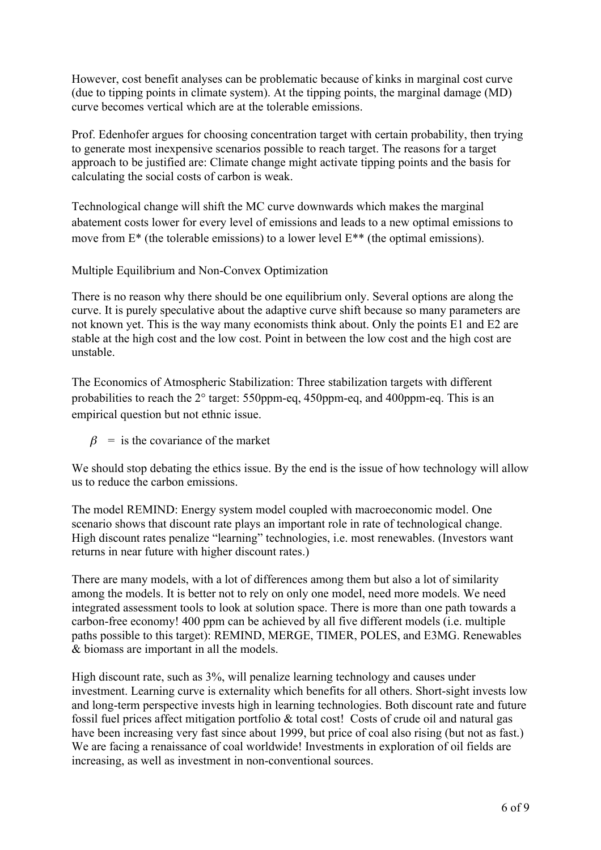However, cost benefit analyses can be problematic because of kinks in marginal cost curve (due to tipping points in climate system). At the tipping points, the marginal damage (MD) curve becomes vertical which are at the tolerable emissions.

Prof. Edenhofer argues for choosing concentration target with certain probability, then trying to generate most inexpensive scenarios possible to reach target. The reasons for a target approach to be justified are: Climate change might activate tipping points and the basis for calculating the social costs of carbon is weak.

Technological change will shift the MC curve downwards which makes the marginal abatement costs lower for every level of emissions and leads to a new optimal emissions to move from E\* (the tolerable emissions) to a lower level E\*\* (the optimal emissions).

Multiple Equilibrium and Non-Convex Optimization

There is no reason why there should be one equilibrium only. Several options are along the curve. It is purely speculative about the adaptive curve shift because so many parameters are not known yet. This is the way many economists think about. Only the points E1 and E2 are stable at the high cost and the low cost. Point in between the low cost and the high cost are unstable.

The Economics of Atmospheric Stabilization: Three stabilization targets with different probabilities to reach the 2° target: 550ppm-eq, 450ppm-eq, and 400ppm-eq. This is an empirical question but not ethnic issue.

 $\beta$  = is the covariance of the market

We should stop debating the ethics issue. By the end is the issue of how technology will allow us to reduce the carbon emissions.

The model REMIND: Energy system model coupled with macroeconomic model. One scenario shows that discount rate plays an important role in rate of technological change. High discount rates penalize "learning" technologies, i.e. most renewables. (Investors want returns in near future with higher discount rates.)

There are many models, with a lot of differences among them but also a lot of similarity among the models. It is better not to rely on only one model, need more models. We need integrated assessment tools to look at solution space. There is more than one path towards a carbon-free economy! 400 ppm can be achieved by all five different models (i.e. multiple paths possible to this target): REMIND, MERGE, TIMER, POLES, and E3MG. Renewables & biomass are important in all the models.

High discount rate, such as 3%, will penalize learning technology and causes under investment. Learning curve is externality which benefits for all others. Short-sight invests low and long-term perspective invests high in learning technologies. Both discount rate and future fossil fuel prices affect mitigation portfolio & total cost! Costs of crude oil and natural gas have been increasing very fast since about 1999, but price of coal also rising (but not as fast.) We are facing a renaissance of coal worldwide! Investments in exploration of oil fields are increasing, as well as investment in non-conventional sources.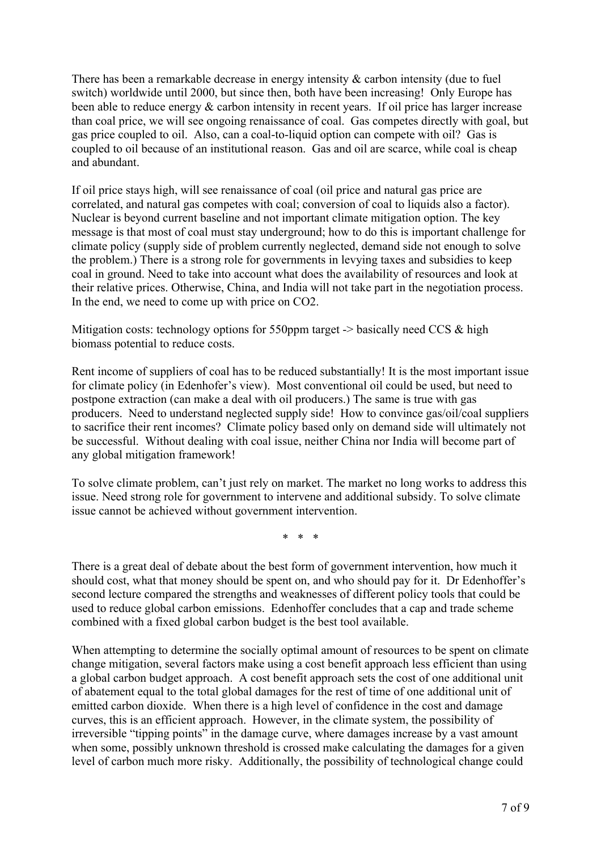There has been a remarkable decrease in energy intensity  $\&$  carbon intensity (due to fuel switch) worldwide until 2000, but since then, both have been increasing! Only Europe has been able to reduce energy  $\&$  carbon intensity in recent years. If oil price has larger increase than coal price, we will see ongoing renaissance of coal. Gas competes directly with goal, but gas price coupled to oil. Also, can a coal-to-liquid option can compete with oil? Gas is coupled to oil because of an institutional reason. Gas and oil are scarce, while coal is cheap and abundant.

If oil price stays high, will see renaissance of coal (oil price and natural gas price are correlated, and natural gas competes with coal; conversion of coal to liquids also a factor). Nuclear is beyond current baseline and not important climate mitigation option. The key message is that most of coal must stay underground; how to do this is important challenge for climate policy (supply side of problem currently neglected, demand side not enough to solve the problem.) There is a strong role for governments in levying taxes and subsidies to keep coal in ground. Need to take into account what does the availability of resources and look at their relative prices. Otherwise, China, and India will not take part in the negotiation process. In the end, we need to come up with price on CO2.

Mitigation costs: technology options for 550ppm target  $\rightarrow$  basically need CCS & high biomass potential to reduce costs.

Rent income of suppliers of coal has to be reduced substantially! It is the most important issue for climate policy (in Edenhofer's view). Most conventional oil could be used, but need to postpone extraction (can make a deal with oil producers.) The same is true with gas producers. Need to understand neglected supply side! How to convince gas/oil/coal suppliers to sacrifice their rent incomes? Climate policy based only on demand side will ultimately not be successful. Without dealing with coal issue, neither China nor India will become part of any global mitigation framework!

To solve climate problem, can't just rely on market. The market no long works to address this issue. Need strong role for government to intervene and additional subsidy. To solve climate issue cannot be achieved without government intervention.

\* \* \*

There is a great deal of debate about the best form of government intervention, how much it should cost, what that money should be spent on, and who should pay for it. Dr Edenhoffer's second lecture compared the strengths and weaknesses of different policy tools that could be used to reduce global carbon emissions. Edenhoffer concludes that a cap and trade scheme combined with a fixed global carbon budget is the best tool available.

When attempting to determine the socially optimal amount of resources to be spent on climate change mitigation, several factors make using a cost benefit approach less efficient than using a global carbon budget approach. A cost benefit approach sets the cost of one additional unit of abatement equal to the total global damages for the rest of time of one additional unit of emitted carbon dioxide. When there is a high level of confidence in the cost and damage curves, this is an efficient approach. However, in the climate system, the possibility of irreversible "tipping points" in the damage curve, where damages increase by a vast amount when some, possibly unknown threshold is crossed make calculating the damages for a given level of carbon much more risky. Additionally, the possibility of technological change could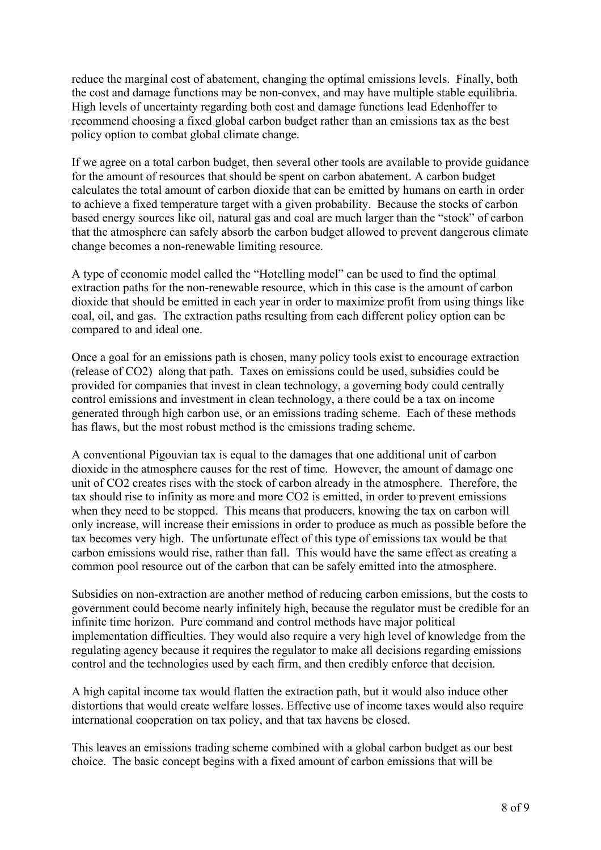reduce the marginal cost of abatement, changing the optimal emissions levels. Finally, both the cost and damage functions may be non-convex, and may have multiple stable equilibria. High levels of uncertainty regarding both cost and damage functions lead Edenhoffer to recommend choosing a fixed global carbon budget rather than an emissions tax as the best policy option to combat global climate change.

If we agree on a total carbon budget, then several other tools are available to provide guidance for the amount of resources that should be spent on carbon abatement. A carbon budget calculates the total amount of carbon dioxide that can be emitted by humans on earth in order to achieve a fixed temperature target with a given probability. Because the stocks of carbon based energy sources like oil, natural gas and coal are much larger than the "stock" of carbon that the atmosphere can safely absorb the carbon budget allowed to prevent dangerous climate change becomes a non-renewable limiting resource.

A type of economic model called the "Hotelling model" can be used to find the optimal extraction paths for the non-renewable resource, which in this case is the amount of carbon dioxide that should be emitted in each year in order to maximize profit from using things like coal, oil, and gas. The extraction paths resulting from each different policy option can be compared to and ideal one.

Once a goal for an emissions path is chosen, many policy tools exist to encourage extraction (release of CO2) along that path. Taxes on emissions could be used, subsidies could be provided for companies that invest in clean technology, a governing body could centrally control emissions and investment in clean technology, a there could be a tax on income generated through high carbon use, or an emissions trading scheme. Each of these methods has flaws, but the most robust method is the emissions trading scheme.

A conventional Pigouvian tax is equal to the damages that one additional unit of carbon dioxide in the atmosphere causes for the rest of time. However, the amount of damage one unit of CO2 creates rises with the stock of carbon already in the atmosphere. Therefore, the tax should rise to infinity as more and more CO2 is emitted, in order to prevent emissions when they need to be stopped. This means that producers, knowing the tax on carbon will only increase, will increase their emissions in order to produce as much as possible before the tax becomes very high. The unfortunate effect of this type of emissions tax would be that carbon emissions would rise, rather than fall. This would have the same effect as creating a common pool resource out of the carbon that can be safely emitted into the atmosphere.

Subsidies on non-extraction are another method of reducing carbon emissions, but the costs to government could become nearly infinitely high, because the regulator must be credible for an infinite time horizon. Pure command and control methods have major political implementation difficulties. They would also require a very high level of knowledge from the regulating agency because it requires the regulator to make all decisions regarding emissions control and the technologies used by each firm, and then credibly enforce that decision.

A high capital income tax would flatten the extraction path, but it would also induce other distortions that would create welfare losses. Effective use of income taxes would also require international cooperation on tax policy, and that tax havens be closed.

This leaves an emissions trading scheme combined with a global carbon budget as our best choice. The basic concept begins with a fixed amount of carbon emissions that will be